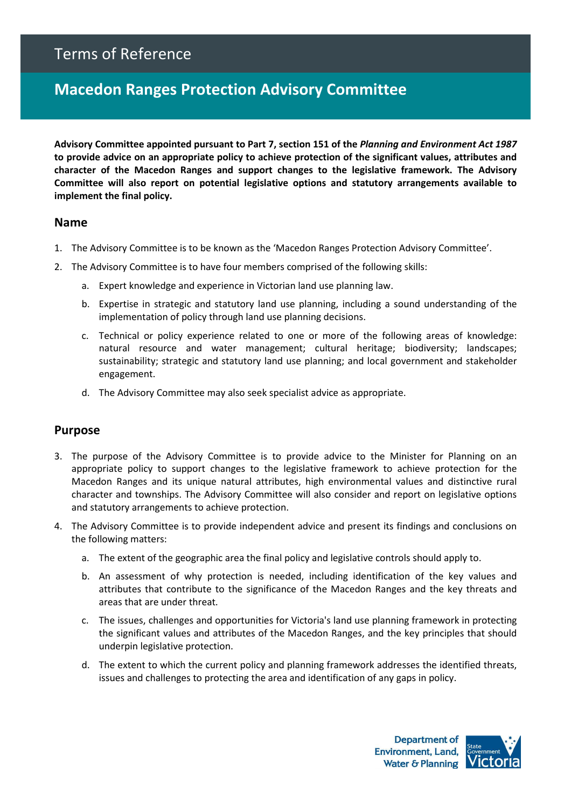# Terms of Reference

# **Macedon Ranges Protection Advisory Committee**

**Advisory Committee appointed pursuant to Part 7, section 151 of the** *Planning and Environment Act 1987* **to provide advice on an appropriate policy to achieve protection of the significant values, attributes and character of the Macedon Ranges and support changes to the legislative framework. The Advisory Committee will also report on potential legislative options and statutory arrangements available to implement the final policy.** 

#### **Name**

- 1. The Advisory Committee is to be known as the 'Macedon Ranges Protection Advisory Committee'.
- 2. The Advisory Committee is to have four members comprised of the following skills:
	- a. Expert knowledge and experience in Victorian land use planning law.
	- b. Expertise in strategic and statutory land use planning, including a sound understanding of the implementation of policy through land use planning decisions.
	- c. Technical or policy experience related to one or more of the following areas of knowledge: natural resource and water management; cultural heritage; biodiversity; landscapes; sustainability; strategic and statutory land use planning; and local government and stakeholder engagement.
	- d. The Advisory Committee may also seek specialist advice as appropriate.

## **Purpose**

- 3. The purpose of the Advisory Committee is to provide advice to the Minister for Planning on an appropriate policy to support changes to the legislative framework to achieve protection for the Macedon Ranges and its unique natural attributes, high environmental values and distinctive rural character and townships. The Advisory Committee will also consider and report on legislative options and statutory arrangements to achieve protection.
- 4. The Advisory Committee is to provide independent advice and present its findings and conclusions on the following matters:
	- a. The extent of the geographic area the final policy and legislative controls should apply to.
	- b. An assessment of why protection is needed, including identification of the key values and attributes that contribute to the significance of the Macedon Ranges and the key threats and areas that are under threat.
	- c. The issues, challenges and opportunities for Victoria's land use planning framework in protecting the significant values and attributes of the Macedon Ranges, and the key principles that should underpin legislative protection.
	- d. The extent to which the current policy and planning framework addresses the identified threats, issues and challenges to protecting the area and identification of any gaps in policy.

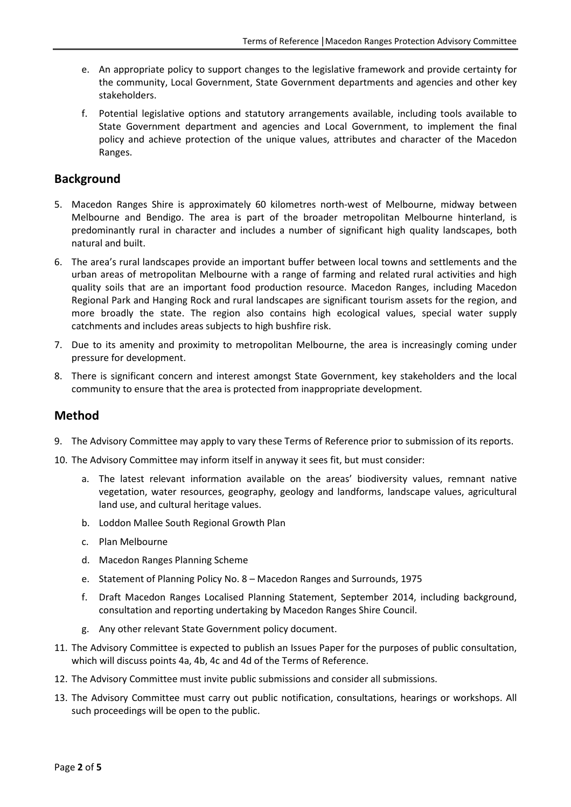- e. An appropriate policy to support changes to the legislative framework and provide certainty for the community, Local Government, State Government departments and agencies and other key stakeholders.
- f. Potential legislative options and statutory arrangements available, including tools available to State Government department and agencies and Local Government, to implement the final policy and achieve protection of the unique values, attributes and character of the Macedon Ranges.

## **Background**

- 5. Macedon Ranges Shire is approximately 60 kilometres north-west of Melbourne, midway between Melbourne and Bendigo. The area is part of the broader metropolitan Melbourne hinterland, is predominantly rural in character and includes a number of significant high quality landscapes, both natural and built.
- 6. The area's rural landscapes provide an important buffer between local towns and settlements and the urban areas of metropolitan Melbourne with a range of farming and related rural activities and high quality soils that are an important food production resource. Macedon Ranges, including Macedon Regional Park and Hanging Rock and rural landscapes are significant tourism assets for the region, and more broadly the state. The region also contains high ecological values, special water supply catchments and includes areas subjects to high bushfire risk.
- 7. Due to its amenity and proximity to metropolitan Melbourne, the area is increasingly coming under pressure for development.
- 8. There is significant concern and interest amongst State Government, key stakeholders and the local community to ensure that the area is protected from inappropriate development.

## **Method**

- 9. The Advisory Committee may apply to vary these Terms of Reference prior to submission of its reports.
- 10. The Advisory Committee may inform itself in anyway it sees fit, but must consider:
	- a. The latest relevant information available on the areas' biodiversity values, remnant native vegetation, water resources, geography, geology and landforms, landscape values, agricultural land use, and cultural heritage values.
	- b. Loddon Mallee South Regional Growth Plan
	- c. Plan Melbourne
	- d. Macedon Ranges Planning Scheme
	- e. Statement of Planning Policy No. 8 Macedon Ranges and Surrounds, 1975
	- f. Draft Macedon Ranges Localised Planning Statement, September 2014, including background, consultation and reporting undertaking by Macedon Ranges Shire Council.
	- g. Any other relevant State Government policy document.
- 11. The Advisory Committee is expected to publish an Issues Paper for the purposes of public consultation, which will discuss points 4a, 4b, 4c and 4d of the Terms of Reference.
- 12. The Advisory Committee must invite public submissions and consider all submissions.
- 13. The Advisory Committee must carry out public notification, consultations, hearings or workshops. All such proceedings will be open to the public.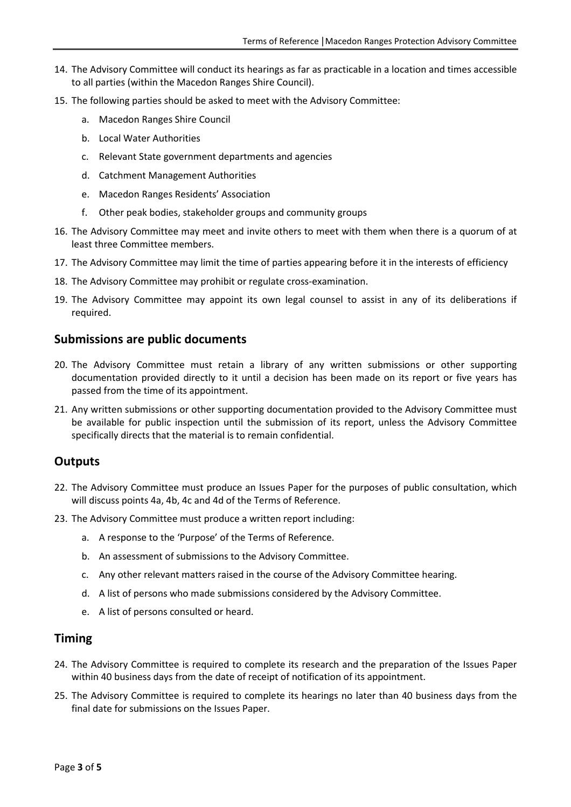- 14. The Advisory Committee will conduct its hearings as far as practicable in a location and times accessible to all parties (within the Macedon Ranges Shire Council).
- 15. The following parties should be asked to meet with the Advisory Committee:
	- a. Macedon Ranges Shire Council
	- b. Local Water Authorities
	- c. Relevant State government departments and agencies
	- d. Catchment Management Authorities
	- e. Macedon Ranges Residents' Association
	- f. Other peak bodies, stakeholder groups and community groups
- 16. The Advisory Committee may meet and invite others to meet with them when there is a quorum of at least three Committee members.
- 17. The Advisory Committee may limit the time of parties appearing before it in the interests of efficiency
- 18. The Advisory Committee may prohibit or regulate cross-examination.
- 19. The Advisory Committee may appoint its own legal counsel to assist in any of its deliberations if required.

#### **Submissions are public documents**

- 20. The Advisory Committee must retain a library of any written submissions or other supporting documentation provided directly to it until a decision has been made on its report or five years has passed from the time of its appointment.
- 21. Any written submissions or other supporting documentation provided to the Advisory Committee must be available for public inspection until the submission of its report, unless the Advisory Committee specifically directs that the material is to remain confidential.

## **Outputs**

- 22. The Advisory Committee must produce an Issues Paper for the purposes of public consultation, which will discuss points 4a, 4b, 4c and 4d of the Terms of Reference.
- 23. The Advisory Committee must produce a written report including:
	- a. A response to the 'Purpose' of the Terms of Reference.
	- b. An assessment of submissions to the Advisory Committee.
	- c. Any other relevant matters raised in the course of the Advisory Committee hearing.
	- d. A list of persons who made submissions considered by the Advisory Committee.
	- e. A list of persons consulted or heard.

#### **Timing**

- 24. The Advisory Committee is required to complete its research and the preparation of the Issues Paper within 40 business days from the date of receipt of notification of its appointment.
- 25. The Advisory Committee is required to complete its hearings no later than 40 business days from the final date for submissions on the Issues Paper.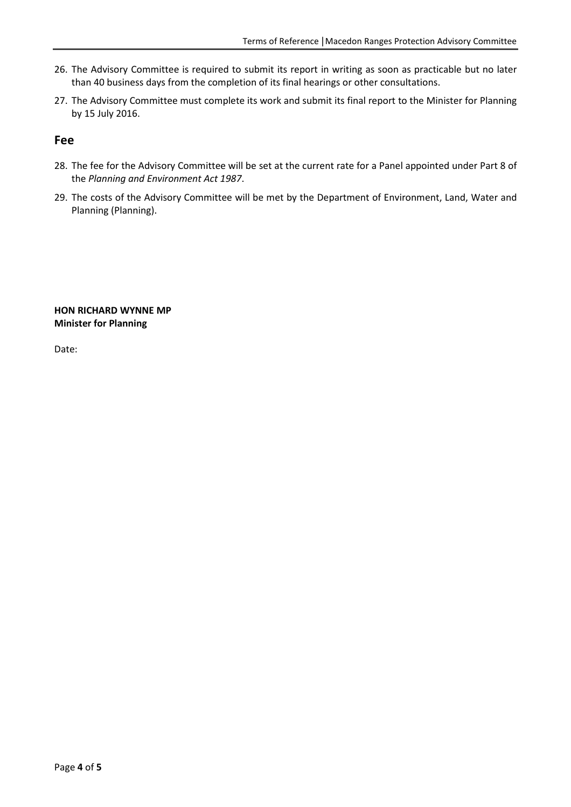- 26. The Advisory Committee is required to submit its report in writing as soon as practicable but no later than 40 business days from the completion of its final hearings or other consultations.
- 27. The Advisory Committee must complete its work and submit its final report to the Minister for Planning by 15 July 2016.

#### **Fee**

- 28. The fee for the Advisory Committee will be set at the current rate for a Panel appointed under Part 8 of the *Planning and Environment Act 1987*.
- 29. The costs of the Advisory Committee will be met by the Department of Environment, Land, Water and Planning (Planning).

#### **HON RICHARD WYNNE MP Minister for Planning**

Date: